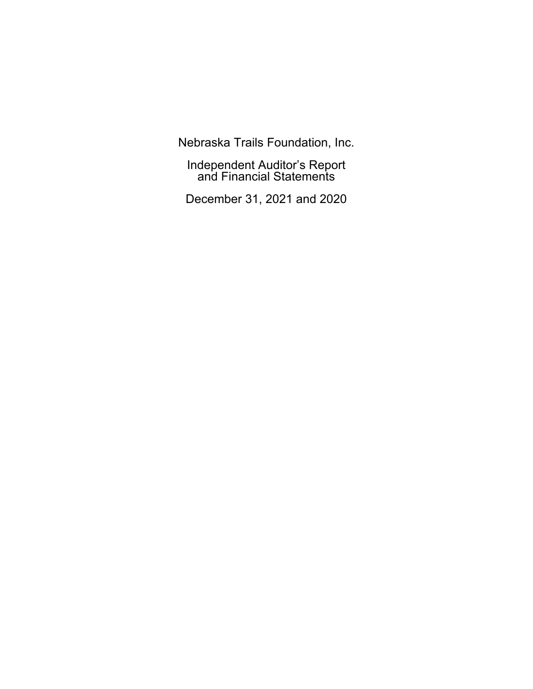Nebraska Trails Foundation, Inc.

Independent Auditor's Report and Financial Statements

December 31, 2021 and 2020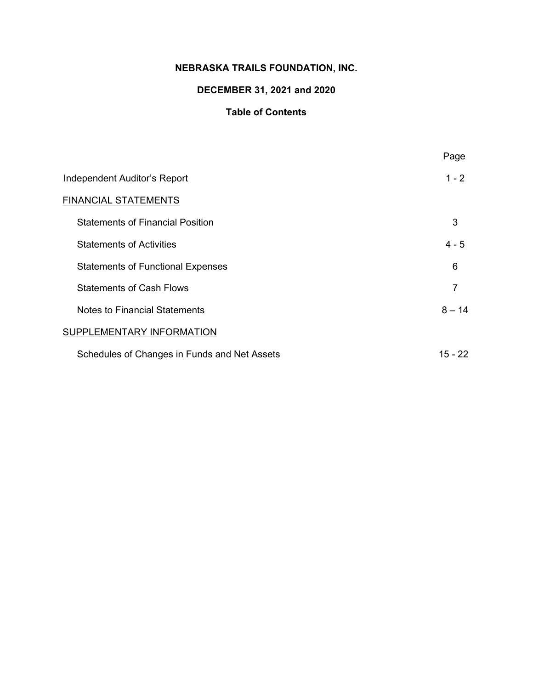## **NEBRASKA TRAILS FOUNDATION, INC.**

# **DECEMBER 31, 2021 and 2020**

## **Table of Contents**

|                                              | Page     |
|----------------------------------------------|----------|
| Independent Auditor's Report                 | $1 - 2$  |
| <b>FINANCIAL STATEMENTS</b>                  |          |
| <b>Statements of Financial Position</b>      | 3        |
| <b>Statements of Activities</b>              | $4 - 5$  |
| <b>Statements of Functional Expenses</b>     | 6        |
| <b>Statements of Cash Flows</b>              | 7        |
| <b>Notes to Financial Statements</b>         | $8 - 14$ |
| SUPPLEMENTARY INFORMATION                    |          |
| Schedules of Changes in Funds and Net Assets | 15 - 22  |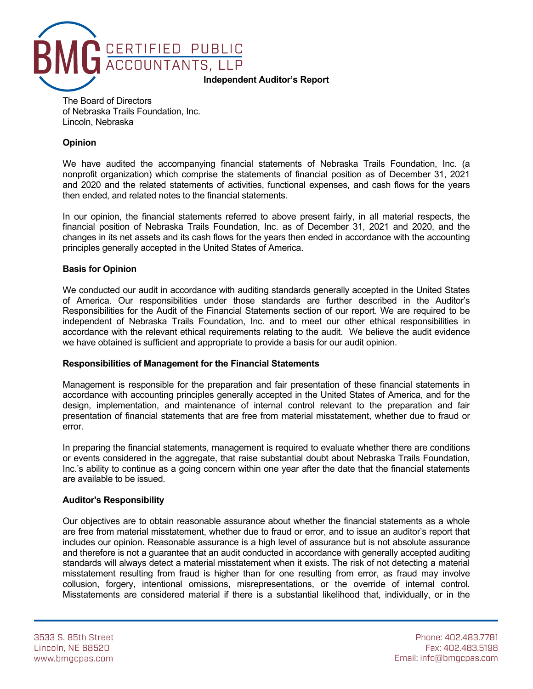

The Board of Directors of Nebraska Trails Foundation, Inc. Lincoln, Nebraska

#### **Opinion**

We have audited the accompanying financial statements of Nebraska Trails Foundation, Inc. (a nonprofit organization) which comprise the statements of financial position as of December 31, 2021 and 2020 and the related statements of activities, functional expenses, and cash flows for the years then ended, and related notes to the financial statements.

In our opinion, the financial statements referred to above present fairly, in all material respects, the financial position of Nebraska Trails Foundation, Inc. as of December 31, 2021 and 2020, and the changes in its net assets and its cash flows for the years then ended in accordance with the accounting principles generally accepted in the United States of America.

#### **Basis for Opinion**

We conducted our audit in accordance with auditing standards generally accepted in the United States of America. Our responsibilities under those standards are further described in the Auditor's Responsibilities for the Audit of the Financial Statements section of our report. We are required to be independent of Nebraska Trails Foundation, Inc. and to meet our other ethical responsibilities in accordance with the relevant ethical requirements relating to the audit. We believe the audit evidence we have obtained is sufficient and appropriate to provide a basis for our audit opinion.

#### **Responsibilities of Management for the Financial Statements**

Management is responsible for the preparation and fair presentation of these financial statements in accordance with accounting principles generally accepted in the United States of America, and for the design, implementation, and maintenance of internal control relevant to the preparation and fair presentation of financial statements that are free from material misstatement, whether due to fraud or error.

In preparing the financial statements, management is required to evaluate whether there are conditions or events considered in the aggregate, that raise substantial doubt about Nebraska Trails Foundation, Inc.'s ability to continue as a going concern within one year after the date that the financial statements are available to be issued.

#### **Auditor's Responsibility**

Our objectives are to obtain reasonable assurance about whether the financial statements as a whole are free from material misstatement, whether due to fraud or error, and to issue an auditor's report that includes our opinion. Reasonable assurance is a high level of assurance but is not absolute assurance and therefore is not a guarantee that an audit conducted in accordance with generally accepted auditing standards will always detect a material misstatement when it exists. The risk of not detecting a material misstatement resulting from fraud is higher than for one resulting from error, as fraud may involve collusion, forgery, intentional omissions, misrepresentations, or the override of internal control. Misstatements are considered material if there is a substantial likelihood that, individually, or in the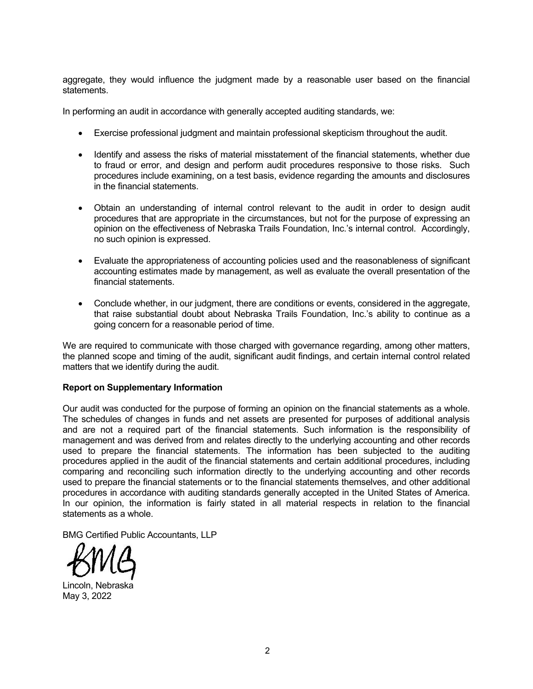aggregate, they would influence the judgment made by a reasonable user based on the financial statements.

In performing an audit in accordance with generally accepted auditing standards, we:

- Exercise professional judgment and maintain professional skepticism throughout the audit.
- Identify and assess the risks of material misstatement of the financial statements, whether due to fraud or error, and design and perform audit procedures responsive to those risks. Such procedures include examining, on a test basis, evidence regarding the amounts and disclosures in the financial statements.
- Obtain an understanding of internal control relevant to the audit in order to design audit procedures that are appropriate in the circumstances, but not for the purpose of expressing an opinion on the effectiveness of Nebraska Trails Foundation, Inc.'s internal control. Accordingly, no such opinion is expressed.
- Evaluate the appropriateness of accounting policies used and the reasonableness of significant accounting estimates made by management, as well as evaluate the overall presentation of the financial statements.
- Conclude whether, in our judgment, there are conditions or events, considered in the aggregate, that raise substantial doubt about Nebraska Trails Foundation, Inc.'s ability to continue as a going concern for a reasonable period of time.

We are required to communicate with those charged with governance regarding, among other matters, the planned scope and timing of the audit, significant audit findings, and certain internal control related matters that we identify during the audit.

#### **Report on Supplementary Information**

Our audit was conducted for the purpose of forming an opinion on the financial statements as a whole. The schedules of changes in funds and net assets are presented for purposes of additional analysis and are not a required part of the financial statements. Such information is the responsibility of management and was derived from and relates directly to the underlying accounting and other records used to prepare the financial statements. The information has been subjected to the auditing procedures applied in the audit of the financial statements and certain additional procedures, including comparing and reconciling such information directly to the underlying accounting and other records used to prepare the financial statements or to the financial statements themselves, and other additional procedures in accordance with auditing standards generally accepted in the United States of America. In our opinion, the information is fairly stated in all material respects in relation to the financial statements as a whole.

BMG Certified Public Accountants, LLP



Lincoln, Nebraska May 3, 2022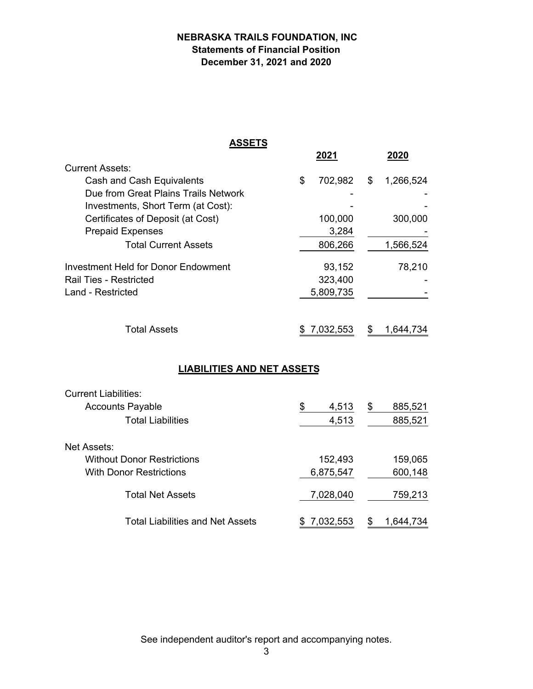## **NEBRASKA TRAILS FOUNDATION, INC Statements of Financial Position December 31, 2021 and 2020**

| <b>ASSETS</b>                              |    |              |                 |
|--------------------------------------------|----|--------------|-----------------|
|                                            |    | <u> 2021</u> | 2020            |
| <b>Current Assets:</b>                     |    |              |                 |
| Cash and Cash Equivalents                  | \$ | 702,982      | \$<br>1,266,524 |
| Due from Great Plains Trails Network       |    |              |                 |
| Investments, Short Term (at Cost):         |    |              |                 |
| Certificates of Deposit (at Cost)          |    | 100,000      | 300,000         |
| <b>Prepaid Expenses</b>                    |    | 3,284        |                 |
| <b>Total Current Assets</b>                |    | 806,266      | 1,566,524       |
| <b>Investment Held for Donor Endowment</b> |    | 93,152       | 78,210          |
| <b>Rail Ties - Restricted</b>              |    | 323,400      |                 |
| <b>Land - Restricted</b>                   |    | 5,809,735    |                 |
| <b>Total Assets</b>                        | S. | 7,032,553    | \$<br>1,644,734 |
| <b>LIABILITIES AND NET ASSETS</b>          |    |              |                 |
| <b>Current Liabilities:</b>                |    |              |                 |
| <b>Accounts Payable</b>                    | \$ | 4,513        | \$<br>885,521   |
| <b>Total Liabilities</b>                   |    | 4,513        | 885,521         |
| <b>Net Assets:</b>                         |    |              |                 |
| <b>Without Donor Restrictions</b>          |    | 152,493      | 159,065         |
| <b>With Donor Restrictions</b>             |    | 6,875,547    | 600,148         |

| <b>Total Net Assets</b>          | 7,028,040   |               | 759,213   |
|----------------------------------|-------------|---------------|-----------|
| Total Liabilities and Net Assets | \$7,032,553 | $\mathcal{S}$ | 1,644,734 |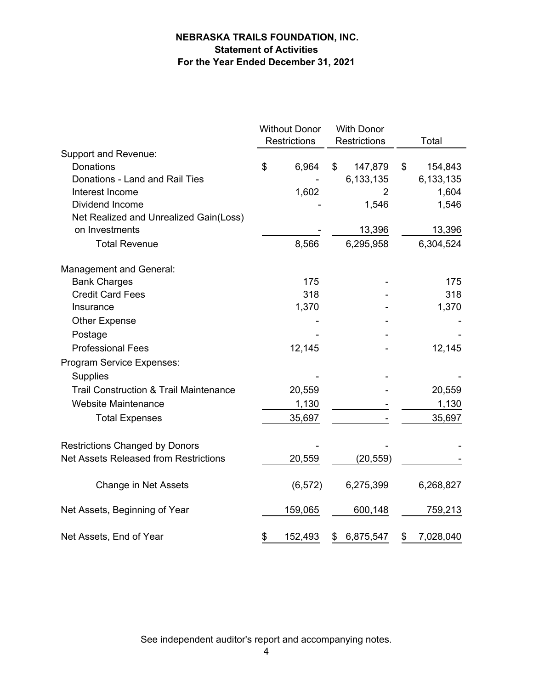## **NEBRASKA TRAILS FOUNDATION, INC. Statement of Activities For the Year Ended December 31, 2021**

|                                                   | <b>Without Donor</b> |                     | <b>With Donor</b> |                     |    |           |
|---------------------------------------------------|----------------------|---------------------|-------------------|---------------------|----|-----------|
|                                                   |                      | <b>Restrictions</b> |                   | <b>Restrictions</b> |    | Total     |
| <b>Support and Revenue:</b>                       |                      |                     |                   |                     |    |           |
| <b>Donations</b>                                  | \$                   | 6,964               | \$                | 147,879             | \$ | 154,843   |
| Donations - Land and Rail Ties                    |                      |                     |                   | 6,133,135           |    | 6,133,135 |
| Interest Income                                   |                      | 1,602               |                   | 2                   |    | 1,604     |
| Dividend Income                                   |                      |                     |                   | 1,546               |    | 1,546     |
| Net Realized and Unrealized Gain(Loss)            |                      |                     |                   |                     |    |           |
| on Investments                                    |                      |                     |                   | 13,396              |    | 13,396    |
| <b>Total Revenue</b>                              |                      | 8,566               |                   | 6,295,958           |    | 6,304,524 |
| Management and General:                           |                      |                     |                   |                     |    |           |
| <b>Bank Charges</b>                               |                      | 175                 |                   |                     |    | 175       |
| <b>Credit Card Fees</b>                           |                      | 318                 |                   |                     |    | 318       |
| Insurance                                         |                      | 1,370               |                   |                     |    | 1,370     |
| <b>Other Expense</b>                              |                      |                     |                   |                     |    |           |
| Postage                                           |                      |                     |                   |                     |    |           |
| <b>Professional Fees</b>                          |                      | 12,145              |                   |                     |    | 12,145    |
| Program Service Expenses:                         |                      |                     |                   |                     |    |           |
| <b>Supplies</b>                                   |                      |                     |                   |                     |    |           |
| <b>Trail Construction &amp; Trail Maintenance</b> |                      | 20,559              |                   |                     |    | 20,559    |
| <b>Website Maintenance</b>                        |                      | 1,130               |                   |                     |    | 1,130     |
| <b>Total Expenses</b>                             |                      | 35,697              |                   |                     |    | 35,697    |
| <b>Restrictions Changed by Donors</b>             |                      |                     |                   |                     |    |           |
| <b>Net Assets Released from Restrictions</b>      |                      | 20,559              |                   | (20, 559)           |    |           |
| Change in Net Assets                              |                      | (6, 572)            |                   | 6,275,399           |    | 6,268,827 |
| Net Assets, Beginning of Year                     |                      | 159,065             |                   | 600,148             |    | 759,213   |
| Net Assets, End of Year                           | \$                   | 152,493             | \$                | 6,875,547           | \$ | 7,028,040 |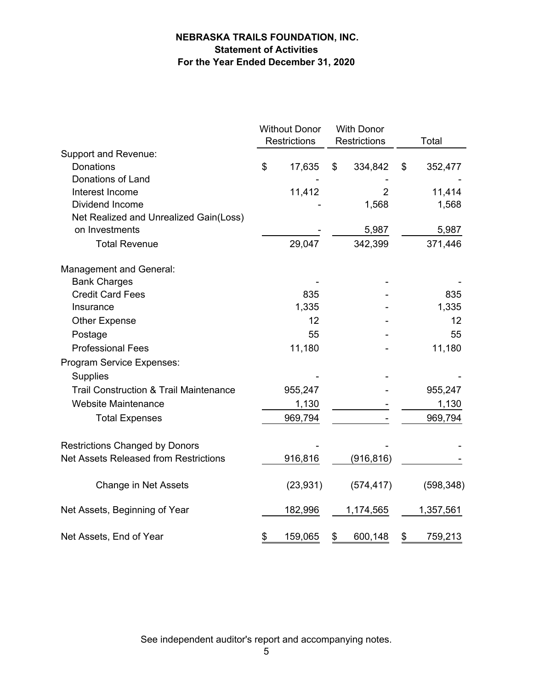## **NEBRASKA TRAILS FOUNDATION, INC. Statement of Activities For the Year Ended December 31, 2020**

|                                                   | <b>Without Donor</b><br><b>Restrictions</b> | <b>With Donor</b><br><b>Restrictions</b> | Total         |
|---------------------------------------------------|---------------------------------------------|------------------------------------------|---------------|
| <b>Support and Revenue:</b>                       |                                             |                                          |               |
| Donations                                         | \$<br>17,635                                | \$<br>334,842                            | \$<br>352,477 |
| Donations of Land                                 |                                             |                                          |               |
| Interest Income                                   | 11,412                                      | 2                                        | 11,414        |
| Dividend Income                                   |                                             | 1,568                                    | 1,568         |
| Net Realized and Unrealized Gain(Loss)            |                                             |                                          |               |
| on Investments                                    |                                             | 5,987                                    | 5,987         |
| <b>Total Revenue</b>                              | 29,047                                      | 342,399                                  | 371,446       |
| Management and General:                           |                                             |                                          |               |
| <b>Bank Charges</b>                               |                                             |                                          |               |
| <b>Credit Card Fees</b>                           | 835                                         |                                          | 835           |
| Insurance                                         | 1,335                                       |                                          | 1,335         |
| <b>Other Expense</b>                              | 12                                          |                                          | 12            |
| Postage                                           | 55                                          |                                          | 55            |
| <b>Professional Fees</b>                          | 11,180                                      |                                          | 11,180        |
| Program Service Expenses:                         |                                             |                                          |               |
| <b>Supplies</b>                                   |                                             |                                          |               |
| <b>Trail Construction &amp; Trail Maintenance</b> | 955,247                                     |                                          | 955,247       |
| <b>Website Maintenance</b>                        | 1,130                                       |                                          | 1,130         |
| <b>Total Expenses</b>                             | 969,794                                     |                                          | 969,794       |
|                                                   |                                             |                                          |               |
| <b>Restrictions Changed by Donors</b>             |                                             |                                          |               |
| Net Assets Released from Restrictions             | 916,816                                     | (916, 816)                               |               |
| <b>Change in Net Assets</b>                       | (23, 931)                                   | (574, 417)                               | (598, 348)    |
| Net Assets, Beginning of Year                     | 182,996                                     | 1,174,565                                | 1,357,561     |
| Net Assets, End of Year                           | \$<br>159,065                               | \$<br>600,148                            | \$<br>759,213 |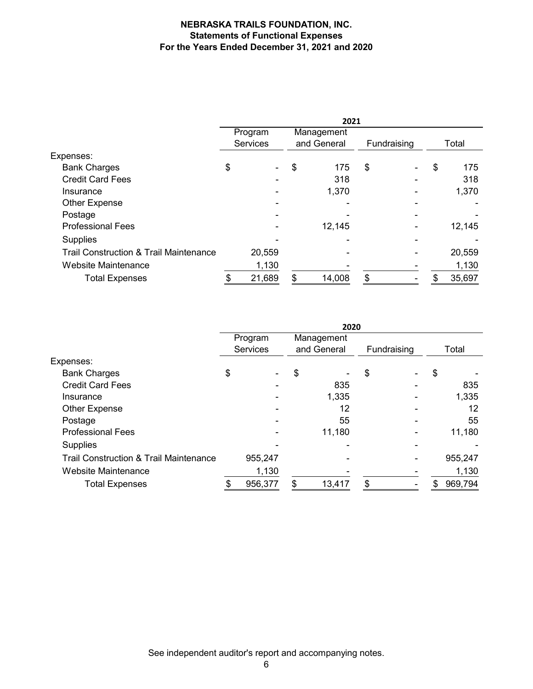#### **NEBRASKA TRAILS FOUNDATION, INC. Statements of Functional Expenses For the Years Ended December 31, 2021 and 2020**

|                                                   | 2021 |                 |    |             |    |             |    |        |
|---------------------------------------------------|------|-----------------|----|-------------|----|-------------|----|--------|
|                                                   |      | Program         |    | Management  |    |             |    |        |
|                                                   |      | <b>Services</b> |    | and General |    | Fundraising |    | Total  |
| Expenses:                                         |      |                 |    |             |    |             |    |        |
| <b>Bank Charges</b>                               | \$   |                 | \$ | 175         | \$ |             | \$ | 175    |
| <b>Credit Card Fees</b>                           |      |                 |    | 318         |    |             |    | 318    |
| Insurance                                         |      |                 |    | 1,370       |    |             |    | 1,370  |
| Other Expense                                     |      |                 |    |             |    |             |    |        |
| Postage                                           |      |                 |    |             |    |             |    |        |
| <b>Professional Fees</b>                          |      |                 |    | 12,145      |    |             |    | 12,145 |
| Supplies                                          |      |                 |    |             |    |             |    |        |
| <b>Trail Construction &amp; Trail Maintenance</b> |      | 20,559          |    |             |    |             |    | 20,559 |
| Website Maintenance                               |      | 1,130           |    |             |    |             |    | 1,130  |
| <b>Total Expenses</b>                             |      | 21,689          | \$ | 14,008      | \$ |             | S  | 35,697 |

|                                                   | 2020 |                 |    |             |    |             |    |         |
|---------------------------------------------------|------|-----------------|----|-------------|----|-------------|----|---------|
|                                                   |      | Program         |    | Management  |    |             |    |         |
|                                                   |      | <b>Services</b> |    | and General |    | Fundraising |    | Total   |
| Expenses:                                         |      |                 |    |             |    |             |    |         |
| <b>Bank Charges</b>                               | \$   |                 | \$ |             | \$ |             | \$ |         |
| <b>Credit Card Fees</b>                           |      |                 |    | 835         |    |             |    | 835     |
| Insurance                                         |      |                 |    | 1,335       |    |             |    | 1,335   |
| <b>Other Expense</b>                              |      |                 |    | 12          |    |             |    | 12      |
| Postage                                           |      |                 |    | 55          |    |             |    | 55      |
| <b>Professional Fees</b>                          |      |                 |    | 11,180      |    |             |    | 11,180  |
| <b>Supplies</b>                                   |      |                 |    |             |    |             |    |         |
| <b>Trail Construction &amp; Trail Maintenance</b> |      | 955,247         |    |             |    |             |    | 955,247 |
| Website Maintenance                               |      | 1,130           |    |             |    |             |    | 1,130   |
| <b>Total Expenses</b>                             |      | 956,377         | \$ | 13,417      | \$ |             | S  | 969,794 |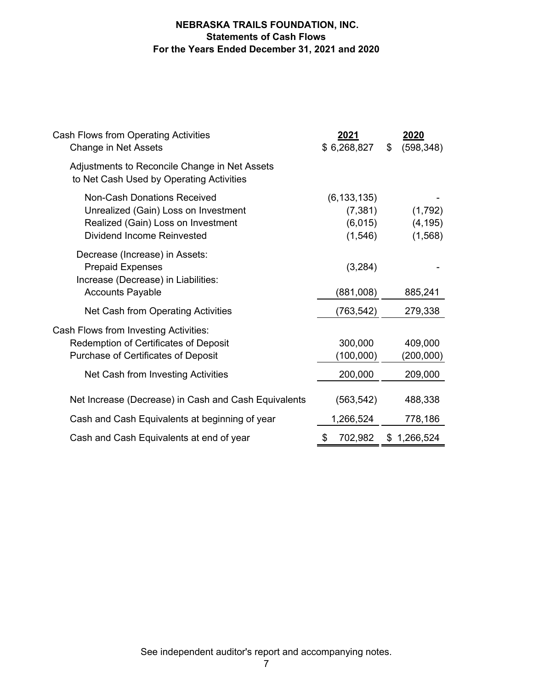### **NEBRASKA TRAILS FOUNDATION, INC. Statements of Cash Flows For the Years Ended December 31, 2021 and 2020**

| Cash Flows from Operating Activities<br><b>Change in Net Assets</b>                                                                                   | 2021<br>\$6,268,827                              | <u>2020</u><br>(598, 348)<br>\$ |
|-------------------------------------------------------------------------------------------------------------------------------------------------------|--------------------------------------------------|---------------------------------|
| Adjustments to Reconcile Change in Net Assets<br>to Net Cash Used by Operating Activities                                                             |                                                  |                                 |
| <b>Non-Cash Donations Received</b><br>Unrealized (Gain) Loss on Investment<br>Realized (Gain) Loss on Investment<br><b>Dividend Income Reinvested</b> | (6, 133, 135)<br>(7, 381)<br>(6,015)<br>(1, 546) | (1,792)<br>(4, 195)<br>(1, 568) |
| Decrease (Increase) in Assets:<br><b>Prepaid Expenses</b><br>Increase (Decrease) in Liabilities:<br><b>Accounts Payable</b>                           | (3,284)<br>(881,008)                             | 885,241                         |
| Net Cash from Operating Activities                                                                                                                    | (763, 542)                                       | 279,338                         |
| Cash Flows from Investing Activities:<br>Redemption of Certificates of Deposit<br>Purchase of Certificates of Deposit                                 | 300,000<br>(100,000)                             | 409,000<br>(200,000)            |
| Net Cash from Investing Activities                                                                                                                    | 200,000                                          | 209,000                         |
| Net Increase (Decrease) in Cash and Cash Equivalents                                                                                                  | (563, 542)                                       | 488,338                         |
| Cash and Cash Equivalents at beginning of year                                                                                                        | 1,266,524                                        | 778,186                         |
| Cash and Cash Equivalents at end of year                                                                                                              | \$<br>702,982                                    | \$1,266,524                     |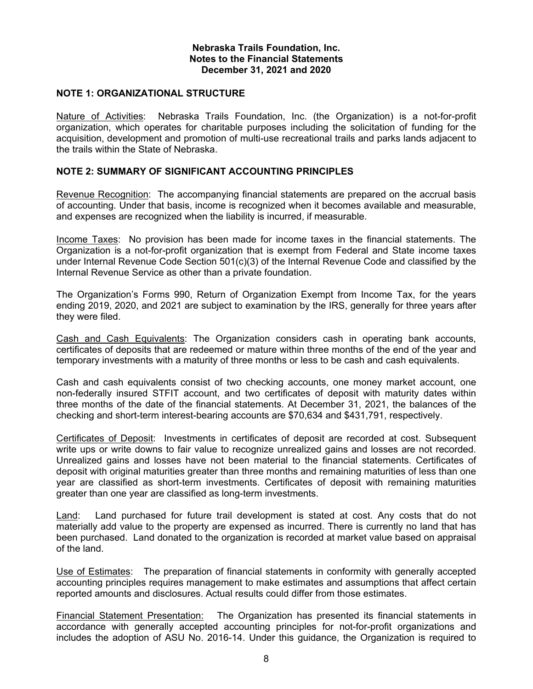#### **NOTE 1: ORGANIZATIONAL STRUCTURE**

Nature of Activities: Nebraska Trails Foundation, Inc. (the Organization) is a not-for-profit organization, which operates for charitable purposes including the solicitation of funding for the acquisition, development and promotion of multi-use recreational trails and parks lands adjacent to the trails within the State of Nebraska.

#### **NOTE 2: SUMMARY OF SIGNIFICANT ACCOUNTING PRINCIPLES**

Revenue Recognition: The accompanying financial statements are prepared on the accrual basis of accounting. Under that basis, income is recognized when it becomes available and measurable, and expenses are recognized when the liability is incurred, if measurable.

Income Taxes: No provision has been made for income taxes in the financial statements. The Organization is a not-for-profit organization that is exempt from Federal and State income taxes under Internal Revenue Code Section 501(c)(3) of the Internal Revenue Code and classified by the Internal Revenue Service as other than a private foundation.

The Organization's Forms 990, Return of Organization Exempt from Income Tax, for the years ending 2019, 2020, and 2021 are subject to examination by the IRS, generally for three years after they were filed.

Cash and Cash Equivalents: The Organization considers cash in operating bank accounts, certificates of deposits that are redeemed or mature within three months of the end of the year and temporary investments with a maturity of three months or less to be cash and cash equivalents.

Cash and cash equivalents consist of two checking accounts, one money market account, one non-federally insured STFIT account, and two certificates of deposit with maturity dates within three months of the date of the financial statements. At December 31, 2021, the balances of the checking and short-term interest-bearing accounts are \$70,634 and \$431,791, respectively.

Certificates of Deposit: Investments in certificates of deposit are recorded at cost. Subsequent write ups or write downs to fair value to recognize unrealized gains and losses are not recorded. Unrealized gains and losses have not been material to the financial statements. Certificates of deposit with original maturities greater than three months and remaining maturities of less than one year are classified as short-term investments. Certificates of deposit with remaining maturities greater than one year are classified as long-term investments.

Land: Land purchased for future trail development is stated at cost. Any costs that do not materially add value to the property are expensed as incurred. There is currently no land that has been purchased. Land donated to the organization is recorded at market value based on appraisal of the land.

Use of Estimates: The preparation of financial statements in conformity with generally accepted accounting principles requires management to make estimates and assumptions that affect certain reported amounts and disclosures. Actual results could differ from those estimates.

Financial Statement Presentation: The Organization has presented its financial statements in accordance with generally accepted accounting principles for not-for-profit organizations and includes the adoption of ASU No. 2016-14. Under this guidance, the Organization is required to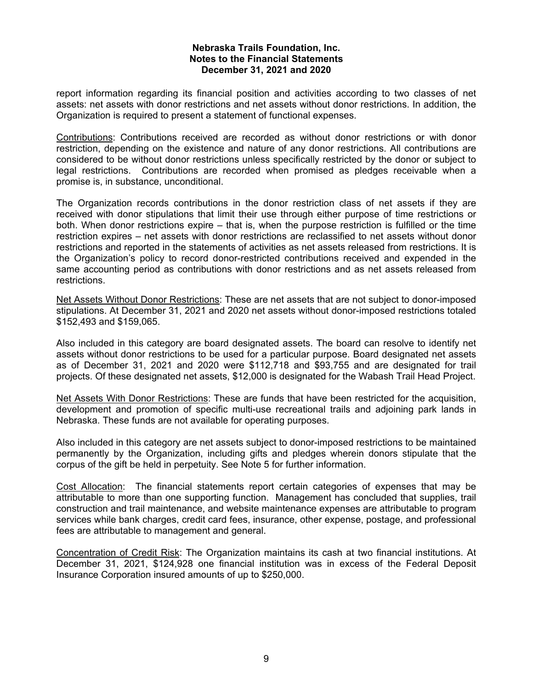report information regarding its financial position and activities according to two classes of net assets: net assets with donor restrictions and net assets without donor restrictions. In addition, the Organization is required to present a statement of functional expenses.

Contributions: Contributions received are recorded as without donor restrictions or with donor restriction, depending on the existence and nature of any donor restrictions. All contributions are considered to be without donor restrictions unless specifically restricted by the donor or subject to legal restrictions. Contributions are recorded when promised as pledges receivable when a promise is, in substance, unconditional.

The Organization records contributions in the donor restriction class of net assets if they are received with donor stipulations that limit their use through either purpose of time restrictions or both. When donor restrictions expire – that is, when the purpose restriction is fulfilled or the time restriction expires – net assets with donor restrictions are reclassified to net assets without donor restrictions and reported in the statements of activities as net assets released from restrictions. It is the Organization's policy to record donor-restricted contributions received and expended in the same accounting period as contributions with donor restrictions and as net assets released from restrictions.

Net Assets Without Donor Restrictions: These are net assets that are not subject to donor-imposed stipulations. At December 31, 2021 and 2020 net assets without donor-imposed restrictions totaled \$152,493 and \$159,065.

Also included in this category are board designated assets. The board can resolve to identify net assets without donor restrictions to be used for a particular purpose. Board designated net assets as of December 31, 2021 and 2020 were \$112,718 and \$93,755 and are designated for trail projects. Of these designated net assets, \$12,000 is designated for the Wabash Trail Head Project.

Net Assets With Donor Restrictions: These are funds that have been restricted for the acquisition, development and promotion of specific multi-use recreational trails and adjoining park lands in Nebraska. These funds are not available for operating purposes.

Also included in this category are net assets subject to donor-imposed restrictions to be maintained permanently by the Organization, including gifts and pledges wherein donors stipulate that the corpus of the gift be held in perpetuity. See Note 5 for further information.

Cost Allocation: The financial statements report certain categories of expenses that may be attributable to more than one supporting function. Management has concluded that supplies, trail construction and trail maintenance, and website maintenance expenses are attributable to program services while bank charges, credit card fees, insurance, other expense, postage, and professional fees are attributable to management and general.

Concentration of Credit Risk: The Organization maintains its cash at two financial institutions. At December 31, 2021, \$124,928 one financial institution was in excess of the Federal Deposit Insurance Corporation insured amounts of up to \$250,000.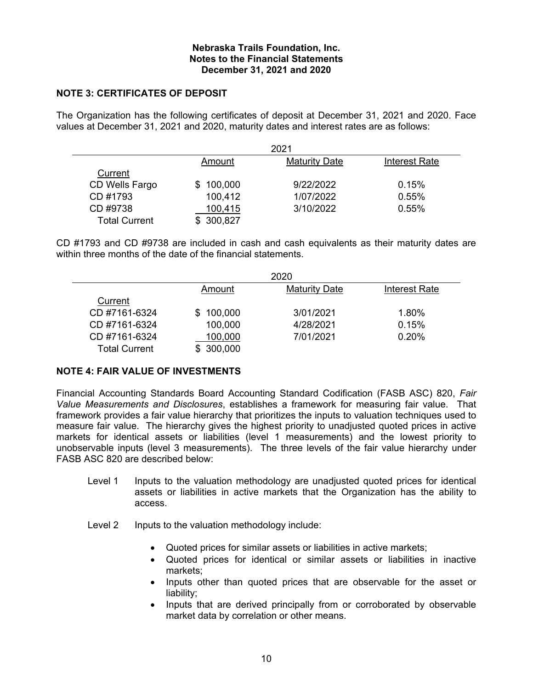#### **NOTE 3: CERTIFICATES OF DEPOSIT**

The Organization has the following certificates of deposit at December 31, 2021 and 2020. Face values at December 31, 2021 and 2020, maturity dates and interest rates are as follows:

| 2021                 |           |                      |               |  |  |
|----------------------|-----------|----------------------|---------------|--|--|
|                      | Amount    | <b>Maturity Date</b> | Interest Rate |  |  |
| Current              |           |                      |               |  |  |
| CD Wells Fargo       | \$100,000 | 9/22/2022            | 0.15%         |  |  |
| CD #1793             | 100,412   | 1/07/2022            | 0.55%         |  |  |
| CD #9738             | 100,415   | 3/10/2022            | 0.55%         |  |  |
| <b>Total Current</b> | 300,827   |                      |               |  |  |

CD #1793 and CD #9738 are included in cash and cash equivalents as their maturity dates are within three months of the date of the financial statements.

|                      |                | 2020                 |               |
|----------------------|----------------|----------------------|---------------|
|                      | Amount         | <b>Maturity Date</b> | Interest Rate |
| Current              |                |                      |               |
| CD #7161-6324        | 100,000<br>S   | 3/01/2021            | 1.80%         |
| CD #7161-6324        | 100,000        | 4/28/2021            | 0.15%         |
| CD #7161-6324        | 100,000        | 7/01/2021            | 0.20%         |
| <b>Total Current</b> | 300,000<br>\$. |                      |               |

#### **NOTE 4: FAIR VALUE OF INVESTMENTS**

Financial Accounting Standards Board Accounting Standard Codification (FASB ASC) 820, *Fair Value Measurements and Disclosures*, establishes a framework for measuring fair value. That framework provides a fair value hierarchy that prioritizes the inputs to valuation techniques used to measure fair value. The hierarchy gives the highest priority to unadjusted quoted prices in active markets for identical assets or liabilities (level 1 measurements) and the lowest priority to unobservable inputs (level 3 measurements). The three levels of the fair value hierarchy under FASB ASC 820 are described below:

- Level 1 Inputs to the valuation methodology are unadjusted quoted prices for identical assets or liabilities in active markets that the Organization has the ability to access.
- Level 2 Inputs to the valuation methodology include:
	- Quoted prices for similar assets or liabilities in active markets;
	- Quoted prices for identical or similar assets or liabilities in inactive markets;
	- Inputs other than quoted prices that are observable for the asset or liability;
	- Inputs that are derived principally from or corroborated by observable market data by correlation or other means.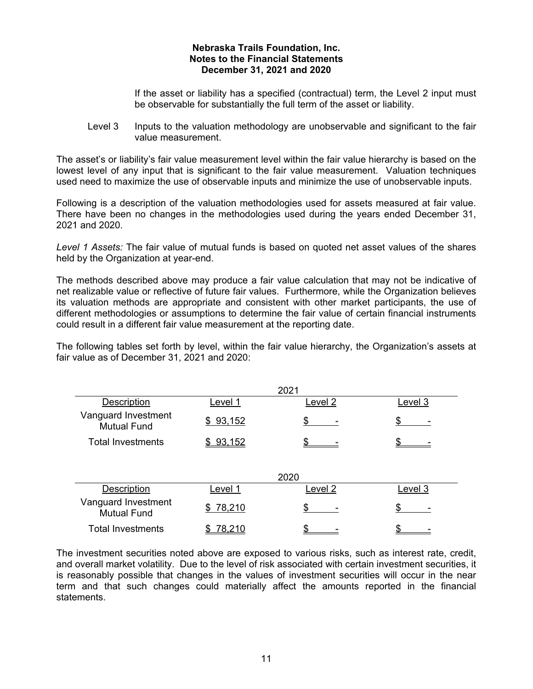If the asset or liability has a specified (contractual) term, the Level 2 input must be observable for substantially the full term of the asset or liability.

Level 3 Inputs to the valuation methodology are unobservable and significant to the fair value measurement.

The asset's or liability's fair value measurement level within the fair value hierarchy is based on the lowest level of any input that is significant to the fair value measurement. Valuation techniques used need to maximize the use of observable inputs and minimize the use of unobservable inputs.

Following is a description of the valuation methodologies used for assets measured at fair value. There have been no changes in the methodologies used during the years ended December 31, 2021 and 2020.

*Level 1 Assets:* The fair value of mutual funds is based on quoted net asset values of the shares held by the Organization at year-end.

The methods described above may produce a fair value calculation that may not be indicative of net realizable value or reflective of future fair values. Furthermore, while the Organization believes its valuation methods are appropriate and consistent with other market participants, the use of different methodologies or assumptions to determine the fair value of certain financial instruments could result in a different fair value measurement at the reporting date.

The following tables set forth by level, within the fair value hierarchy, the Organization's assets at fair value as of December 31, 2021 and 2020:

|                                           |               | 2021    |         |
|-------------------------------------------|---------------|---------|---------|
| Description                               | Level 1       | Level 2 | Level 3 |
| Vanguard Investment<br><b>Mutual Fund</b> | \$93,152      | \$      |         |
| <b>Total Investments</b>                  | \$93,152      |         |         |
|                                           |               | 2020    |         |
| <b>Description</b>                        | evel 1.       | Level 2 | Level 3 |
| Vanguard Investment<br><b>Mutual Fund</b> | \$78,210      |         |         |
| <b>Total Investments</b>                  | <u>78,210</u> |         |         |

The investment securities noted above are exposed to various risks, such as interest rate, credit, and overall market volatility. Due to the level of risk associated with certain investment securities, it is reasonably possible that changes in the values of investment securities will occur in the near term and that such changes could materially affect the amounts reported in the financial statements.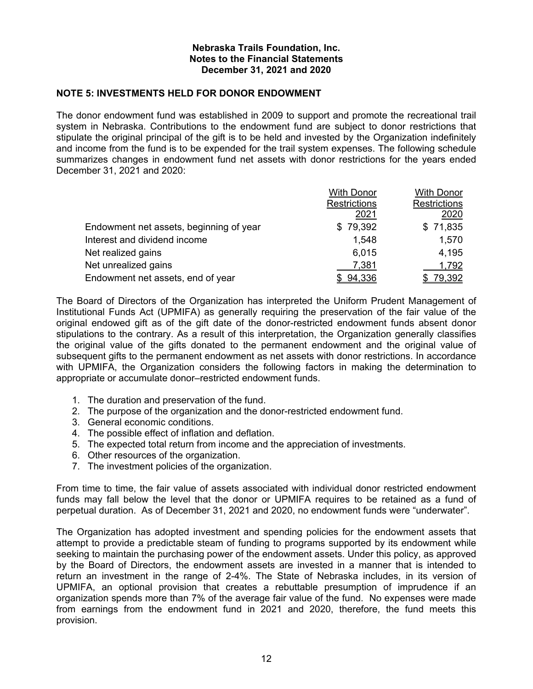#### **NOTE 5: INVESTMENTS HELD FOR DONOR ENDOWMENT**

The donor endowment fund was established in 2009 to support and promote the recreational trail system in Nebraska. Contributions to the endowment fund are subject to donor restrictions that stipulate the original principal of the gift is to be held and invested by the Organization indefinitely and income from the fund is to be expended for the trail system expenses. The following schedule summarizes changes in endowment fund net assets with donor restrictions for the years ended December 31, 2021 and 2020:

|                                         | <b>With Donor</b>   | <b>With Donor</b>   |
|-----------------------------------------|---------------------|---------------------|
|                                         | <b>Restrictions</b> | <b>Restrictions</b> |
|                                         | 2021                | 2020                |
| Endowment net assets, beginning of year | \$79,392            | \$71,835            |
| Interest and dividend income            | 1,548               | 1,570               |
| Net realized gains                      | 6,015               | 4,195               |
| Net unrealized gains                    | 7,381               | 1,792               |
| Endowment net assets, end of year       | \$94,336            | 79,392              |

The Board of Directors of the Organization has interpreted the Uniform Prudent Management of Institutional Funds Act (UPMIFA) as generally requiring the preservation of the fair value of the original endowed gift as of the gift date of the donor-restricted endowment funds absent donor stipulations to the contrary. As a result of this interpretation, the Organization generally classifies the original value of the gifts donated to the permanent endowment and the original value of subsequent gifts to the permanent endowment as net assets with donor restrictions. In accordance with UPMIFA, the Organization considers the following factors in making the determination to appropriate or accumulate donor–restricted endowment funds.

- 1. The duration and preservation of the fund.
- 2. The purpose of the organization and the donor-restricted endowment fund.
- 3. General economic conditions.
- 4. The possible effect of inflation and deflation.
- 5. The expected total return from income and the appreciation of investments.
- 6. Other resources of the organization.
- 7. The investment policies of the organization.

From time to time, the fair value of assets associated with individual donor restricted endowment funds may fall below the level that the donor or UPMIFA requires to be retained as a fund of perpetual duration. As of December 31, 2021 and 2020, no endowment funds were "underwater".

The Organization has adopted investment and spending policies for the endowment assets that attempt to provide a predictable steam of funding to programs supported by its endowment while seeking to maintain the purchasing power of the endowment assets. Under this policy, as approved by the Board of Directors, the endowment assets are invested in a manner that is intended to return an investment in the range of 2-4%. The State of Nebraska includes, in its version of UPMIFA, an optional provision that creates a rebuttable presumption of imprudence if an organization spends more than 7% of the average fair value of the fund. No expenses were made from earnings from the endowment fund in 2021 and 2020, therefore, the fund meets this provision.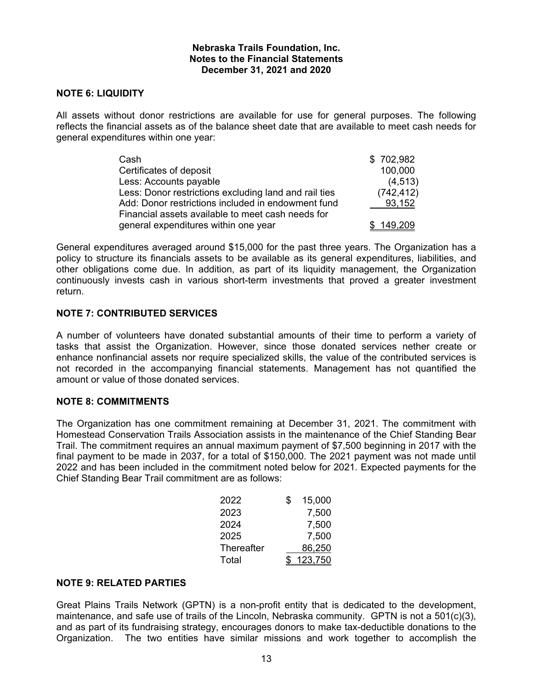#### **NOTE 6: LIQUIDITY**

All assets without donor restrictions are available for use for general purposes. The following reflects the financial assets as of the balance sheet date that are available to meet cash needs for general expenditures within one year:

| Cash                                                  | \$702,982  |
|-------------------------------------------------------|------------|
| Certificates of deposit                               | 100,000    |
| Less: Accounts payable                                | (4, 513)   |
| Less: Donor restrictions excluding land and rail ties | (742, 412) |
| Add: Donor restrictions included in endowment fund    | 93,152     |
| Financial assets available to meet cash needs for     |            |
| general expenditures within one year                  | \$149,209  |

General expenditures averaged around \$15,000 for the past three years. The Organization has a policy to structure its financials assets to be available as its general expenditures, liabilities, and other obligations come due. In addition, as part of its liquidity management, the Organization continuously invests cash in various short-term investments that proved a greater investment return.

#### **NOTE 7: CONTRIBUTED SERVICES**

A number of volunteers have donated substantial amounts of their time to perform a variety of tasks that assist the Organization. However, since those donated services nether create or enhance nonfinancial assets nor require specialized skills, the value of the contributed services is not recorded in the accompanying financial statements. Management has not quantified the amount or value of those donated services.

#### **NOTE 8: COMMITMENTS**

The Organization has one commitment remaining at December 31, 2021. The commitment with Homestead Conservation Trails Association assists in the maintenance of the Chief Standing Bear Trail. The commitment requires an annual maximum payment of \$7,500 beginning in 2017 with the final payment to be made in 2037, for a total of \$150,000. The 2021 payment was not made until 2022 and has been included in the commitment noted below for 2021. Expected payments for the Chief Standing Bear Trail commitment are as follows:

| 2022       | S | 15,000  |
|------------|---|---------|
| 2023       |   | 7,500   |
| 2024       |   | 7,500   |
| 2025       |   | 7,500   |
| Thereafter |   | 86,250  |
| Total      |   | 123,750 |

#### **NOTE 9: RELATED PARTIES**

Great Plains Trails Network (GPTN) is a non-profit entity that is dedicated to the development, maintenance, and safe use of trails of the Lincoln, Nebraska community. GPTN is not a 501(c)(3), and as part of its fundraising strategy, encourages donors to make tax-deductible donations to the Organization. The two entities have similar missions and work together to accomplish the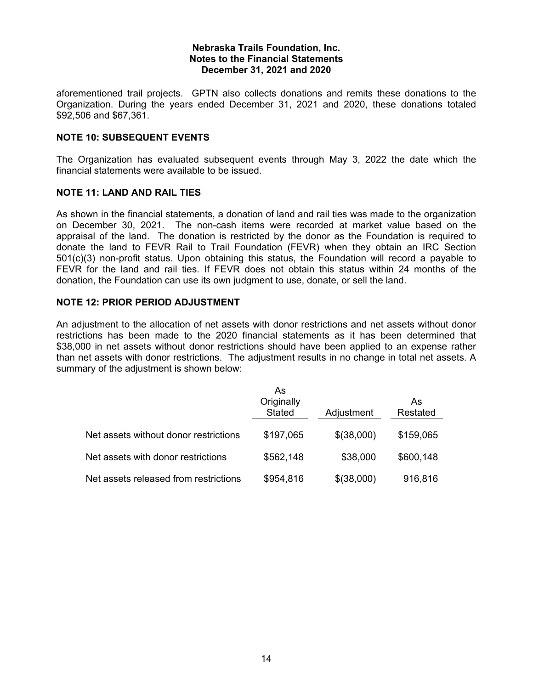aforementioned trail projects. GPTN also collects donations and remits these donations to the Organization. During the years ended December 31, 2021 and 2020, these donations totaled \$92,506 and \$67,361.

#### **NOTE 10: SUBSEQUENT EVENTS**

The Organization has evaluated subsequent events through May 3, 2022 the date which the financial statements were available to be issued.

#### **NOTE 11: LAND AND RAIL TIES**

As shown in the financial statements, a donation of land and rail ties was made to the organization on December 30, 2021. The non-cash items were recorded at market value based on the appraisal of the land. The donation is restricted by the donor as the Foundation is required to donate the land to FEVR Rail to Trail Foundation (FEVR) when they obtain an IRC Section 501(c)(3) non-profit status. Upon obtaining this status, the Foundation will record a payable to FEVR for the land and rail ties. If FEVR does not obtain this status within 24 months of the donation, the Foundation can use its own judgment to use, donate, or sell the land.

#### **NOTE 12: PRIOR PERIOD ADJUSTMENT**

An adjustment to the allocation of net assets with donor restrictions and net assets without donor restrictions has been made to the 2020 financial statements as it has been determined that \$38,000 in net assets without donor restrictions should have been applied to an expense rather than net assets with donor restrictions. The adjustment results in no change in total net assets. A summary of the adjustment is shown below:

|                                       | As<br>Originally<br><b>Stated</b> | Adjustment | As<br>Restated |
|---------------------------------------|-----------------------------------|------------|----------------|
| Net assets without donor restrictions | \$197,065                         | \$(38,000) | \$159,065      |
| Net assets with donor restrictions    | \$562,148                         | \$38,000   | \$600,148      |
| Net assets released from restrictions | \$954,816                         | \$(38,000) | 916,816        |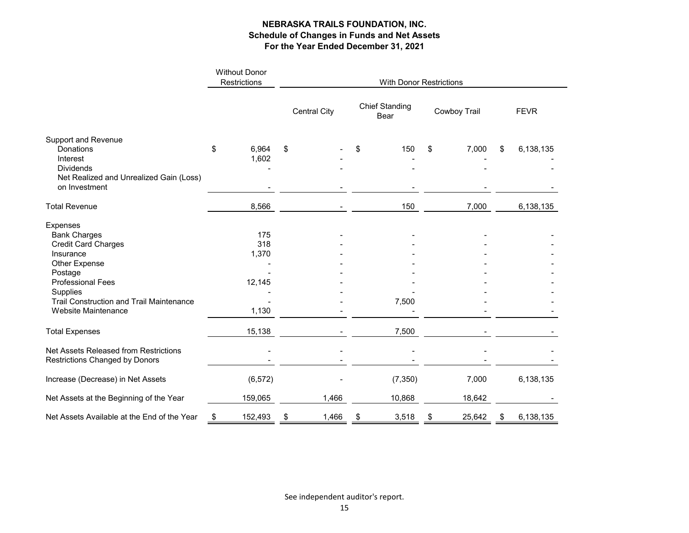|                                                                                | <b>Without Donor</b><br>Restrictions | <b>With Donor Restrictions</b> |              |                               |          |    |              |    |             |  |  |
|--------------------------------------------------------------------------------|--------------------------------------|--------------------------------|--------------|-------------------------------|----------|----|--------------|----|-------------|--|--|
|                                                                                |                                      |                                | Central City | <b>Chief Standing</b><br>Bear |          |    | Cowboy Trail |    | <b>FEVR</b> |  |  |
| <b>Support and Revenue</b>                                                     |                                      |                                |              |                               |          |    |              |    |             |  |  |
| Donations                                                                      | \$<br>6,964                          | \$                             |              | \$                            | 150      | \$ | 7,000        | \$ | 6,138,135   |  |  |
| Interest                                                                       | 1,602                                |                                |              |                               |          |    |              |    |             |  |  |
| <b>Dividends</b>                                                               |                                      |                                |              |                               |          |    |              |    |             |  |  |
| Net Realized and Unrealized Gain (Loss)<br>on Investment                       |                                      |                                |              |                               |          |    |              |    |             |  |  |
| <b>Total Revenue</b>                                                           | 8,566                                |                                |              |                               | 150      |    | 7,000        |    | 6,138,135   |  |  |
| Expenses                                                                       |                                      |                                |              |                               |          |    |              |    |             |  |  |
| <b>Bank Charges</b>                                                            | 175                                  |                                |              |                               |          |    |              |    |             |  |  |
| <b>Credit Card Charges</b>                                                     | 318                                  |                                |              |                               |          |    |              |    |             |  |  |
| Insurance                                                                      | 1,370                                |                                |              |                               |          |    |              |    |             |  |  |
| Other Expense                                                                  |                                      |                                |              |                               |          |    |              |    |             |  |  |
| Postage                                                                        |                                      |                                |              |                               |          |    |              |    |             |  |  |
| <b>Professional Fees</b>                                                       | 12,145                               |                                |              |                               |          |    |              |    |             |  |  |
| Supplies                                                                       |                                      |                                |              |                               |          |    |              |    |             |  |  |
| <b>Trail Construction and Trail Maintenance</b>                                |                                      |                                |              |                               | 7,500    |    |              |    |             |  |  |
| Website Maintenance                                                            | 1,130                                |                                |              |                               |          |    |              |    |             |  |  |
| <b>Total Expenses</b>                                                          | 15,138                               |                                |              |                               | 7,500    |    |              |    |             |  |  |
| Net Assets Released from Restrictions<br><b>Restrictions Changed by Donors</b> |                                      |                                |              |                               |          |    |              |    |             |  |  |
| Increase (Decrease) in Net Assets                                              | (6, 572)                             |                                |              |                               | (7, 350) |    | 7,000        |    | 6,138,135   |  |  |
| Net Assets at the Beginning of the Year                                        | 159,065                              |                                | 1,466        |                               | 10,868   |    | 18,642       |    |             |  |  |
| Net Assets Available at the End of the Year                                    | \$<br>152,493                        | \$                             | 1,466        | \$                            | 3,518    | \$ | 25,642       | \$ | 6,138,135   |  |  |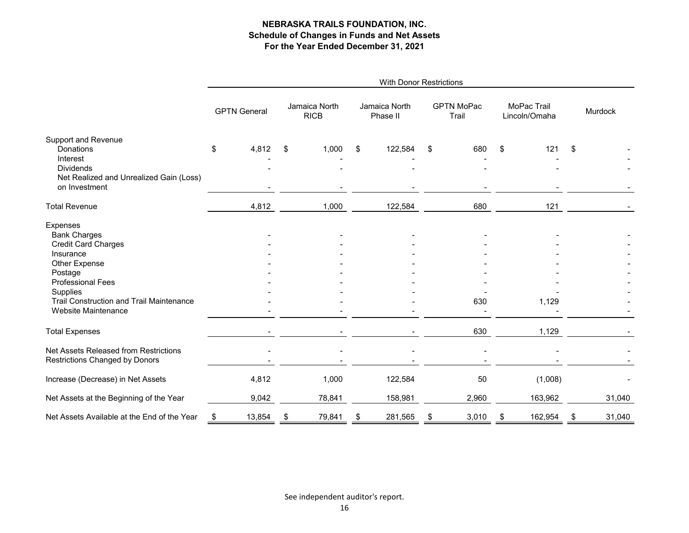|                                                                                                                                                                                                   | <b>With Donor Restrictions</b> |        |     |                              |    |                           |    |                            |    |                              |    |         |  |
|---------------------------------------------------------------------------------------------------------------------------------------------------------------------------------------------------|--------------------------------|--------|-----|------------------------------|----|---------------------------|----|----------------------------|----|------------------------------|----|---------|--|
|                                                                                                                                                                                                   | <b>GPTN General</b>            |        |     | Jamaica North<br><b>RICB</b> |    | Jamaica North<br>Phase II |    | <b>GPTN MoPac</b><br>Trail |    | MoPac Trail<br>Lincoln/Omaha |    | Murdock |  |
| <b>Support and Revenue</b><br>Donations<br>Interest<br><b>Dividends</b><br>Net Realized and Unrealized Gain (Loss)<br>on Investment                                                               | \$                             | 4,812  | \$  | 1,000                        | \$ | 122,584                   | \$ | 680                        | \$ | 121                          | \$ |         |  |
|                                                                                                                                                                                                   |                                |        |     |                              |    |                           |    |                            |    |                              |    |         |  |
| <b>Total Revenue</b>                                                                                                                                                                              |                                | 4,812  |     | 1,000                        |    | 122,584                   |    | 680                        |    | 121                          |    |         |  |
| Expenses<br><b>Bank Charges</b><br><b>Credit Card Charges</b><br>Insurance<br>Other Expense<br>Postage<br><b>Professional Fees</b><br>Supplies<br><b>Trail Construction and Trail Maintenance</b> |                                |        |     |                              |    |                           |    | 630                        |    | 1,129                        |    |         |  |
| Website Maintenance                                                                                                                                                                               |                                |        |     |                              |    |                           |    |                            |    |                              |    |         |  |
| <b>Total Expenses</b>                                                                                                                                                                             |                                |        |     |                              |    |                           |    | 630                        |    | 1,129                        |    |         |  |
| Net Assets Released from Restrictions<br>Restrictions Changed by Donors                                                                                                                           |                                |        |     |                              |    |                           |    |                            |    |                              |    |         |  |
| Increase (Decrease) in Net Assets                                                                                                                                                                 |                                | 4,812  |     | 1,000                        |    | 122,584                   |    | 50                         |    | (1,008)                      |    |         |  |
| Net Assets at the Beginning of the Year                                                                                                                                                           |                                | 9,042  |     | 78,841                       |    | 158,981                   |    | 2,960                      |    | 163,962                      |    | 31,040  |  |
| Net Assets Available at the End of the Year                                                                                                                                                       | \$                             | 13,854 | -\$ | 79,841                       | \$ | 281,565                   | \$ | 3,010                      | \$ | 162,954                      | \$ | 31,040  |  |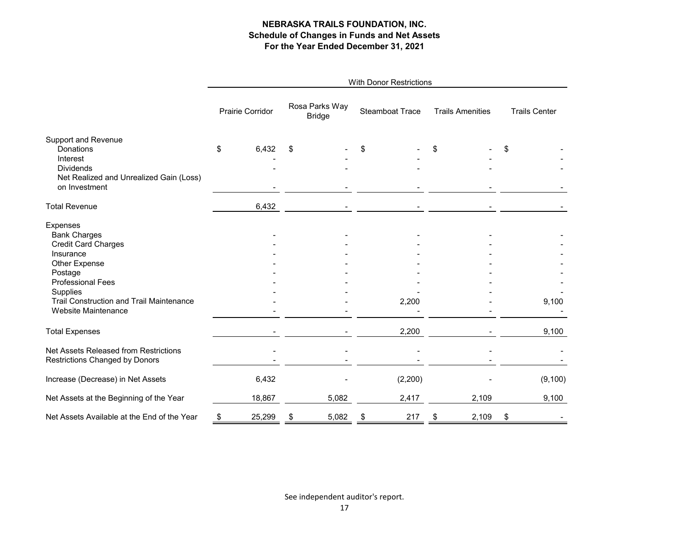|                                                 | With Donor Restrictions |                  |                                 |       |                 |         |                         |       |                      |          |  |  |
|-------------------------------------------------|-------------------------|------------------|---------------------------------|-------|-----------------|---------|-------------------------|-------|----------------------|----------|--|--|
|                                                 |                         | Prairie Corridor | Rosa Parks Way<br><b>Bridge</b> |       | Steamboat Trace |         | <b>Trails Amenities</b> |       | <b>Trails Center</b> |          |  |  |
| <b>Support and Revenue</b>                      |                         |                  |                                 |       |                 |         |                         |       |                      |          |  |  |
| Donations                                       | \$                      | 6,432            | \$                              |       | \$              |         | \$                      |       | \$                   |          |  |  |
| Interest                                        |                         |                  |                                 |       |                 |         |                         |       |                      |          |  |  |
| <b>Dividends</b>                                |                         |                  |                                 |       |                 |         |                         |       |                      |          |  |  |
| Net Realized and Unrealized Gain (Loss)         |                         |                  |                                 |       |                 |         |                         |       |                      |          |  |  |
| on Investment                                   |                         |                  |                                 |       |                 |         |                         |       |                      |          |  |  |
| <b>Total Revenue</b>                            |                         | 6,432            |                                 |       |                 |         |                         |       |                      |          |  |  |
| Expenses                                        |                         |                  |                                 |       |                 |         |                         |       |                      |          |  |  |
| <b>Bank Charges</b>                             |                         |                  |                                 |       |                 |         |                         |       |                      |          |  |  |
| <b>Credit Card Charges</b>                      |                         |                  |                                 |       |                 |         |                         |       |                      |          |  |  |
| Insurance                                       |                         |                  |                                 |       |                 |         |                         |       |                      |          |  |  |
| Other Expense                                   |                         |                  |                                 |       |                 |         |                         |       |                      |          |  |  |
| Postage                                         |                         |                  |                                 |       |                 |         |                         |       |                      |          |  |  |
| <b>Professional Fees</b>                        |                         |                  |                                 |       |                 |         |                         |       |                      |          |  |  |
| Supplies                                        |                         |                  |                                 |       |                 |         |                         |       |                      |          |  |  |
| <b>Trail Construction and Trail Maintenance</b> |                         |                  |                                 |       |                 | 2,200   |                         |       |                      | 9,100    |  |  |
| Website Maintenance                             |                         |                  |                                 |       |                 |         |                         |       |                      |          |  |  |
| <b>Total Expenses</b>                           |                         |                  |                                 |       |                 | 2,200   |                         |       |                      | 9,100    |  |  |
| Net Assets Released from Restrictions           |                         |                  |                                 |       |                 |         |                         |       |                      |          |  |  |
| Restrictions Changed by Donors                  |                         |                  |                                 |       |                 |         |                         |       |                      |          |  |  |
| Increase (Decrease) in Net Assets               |                         | 6,432            |                                 |       |                 | (2,200) |                         |       |                      | (9, 100) |  |  |
| Net Assets at the Beginning of the Year         |                         | 18,867           |                                 | 5,082 |                 | 2,417   |                         | 2,109 |                      | 9,100    |  |  |
| Net Assets Available at the End of the Year     | \$                      | 25,299           | \$                              | 5,082 | \$              | 217     | \$                      | 2,109 | \$                   |          |  |  |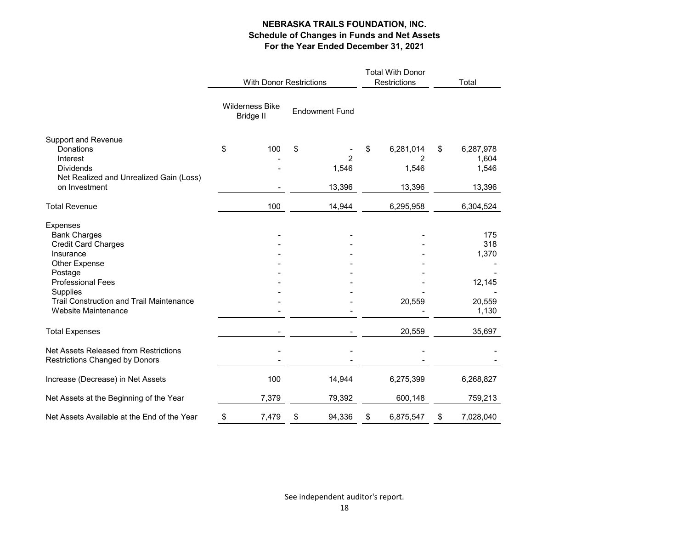|                                             | <b>With Donor Restrictions</b>             |                       | <b>Total With Donor</b><br>Restrictions | Total           |                 |
|---------------------------------------------|--------------------------------------------|-----------------------|-----------------------------------------|-----------------|-----------------|
|                                             | <b>Wilderness Bike</b><br><b>Bridge II</b> | <b>Endowment Fund</b> |                                         |                 |                 |
| <b>Support and Revenue</b>                  |                                            |                       |                                         |                 |                 |
| Donations                                   | \$<br>100                                  | \$                    |                                         | \$<br>6,281,014 | \$<br>6,287,978 |
| Interest                                    |                                            |                       | $\overline{2}$                          | 2               | 1,604           |
| <b>Dividends</b>                            |                                            |                       | 1,546                                   | 1,546           | 1,546           |
| Net Realized and Unrealized Gain (Loss)     |                                            |                       |                                         |                 |                 |
| on Investment                               |                                            |                       | 13,396                                  | 13,396          | 13,396          |
| <b>Total Revenue</b>                        | 100                                        |                       | 14,944                                  | 6,295,958       | 6,304,524       |
| Expenses                                    |                                            |                       |                                         |                 |                 |
| <b>Bank Charges</b>                         |                                            |                       |                                         |                 | 175             |
| <b>Credit Card Charges</b>                  |                                            |                       |                                         |                 | 318             |
| Insurance                                   |                                            |                       |                                         |                 | 1,370           |
| Other Expense                               |                                            |                       |                                         |                 |                 |
| Postage                                     |                                            |                       |                                         |                 |                 |
| <b>Professional Fees</b>                    |                                            |                       |                                         |                 | 12,145          |
| Supplies                                    |                                            |                       |                                         |                 |                 |
| Trail Construction and Trail Maintenance    |                                            |                       |                                         | 20,559          | 20,559          |
| Website Maintenance                         |                                            |                       |                                         |                 | 1,130           |
| <b>Total Expenses</b>                       |                                            |                       |                                         | 20,559          | 35,697          |
| Net Assets Released from Restrictions       |                                            |                       |                                         |                 |                 |
| <b>Restrictions Changed by Donors</b>       |                                            |                       |                                         |                 |                 |
| Increase (Decrease) in Net Assets           | 100                                        |                       | 14,944                                  | 6,275,399       | 6,268,827       |
| Net Assets at the Beginning of the Year     | 7,379                                      |                       | 79,392                                  | 600,148         | 759,213         |
| Net Assets Available at the End of the Year | \$<br>7,479                                | \$                    | 94,336                                  | \$<br>6,875,547 | \$<br>7,028,040 |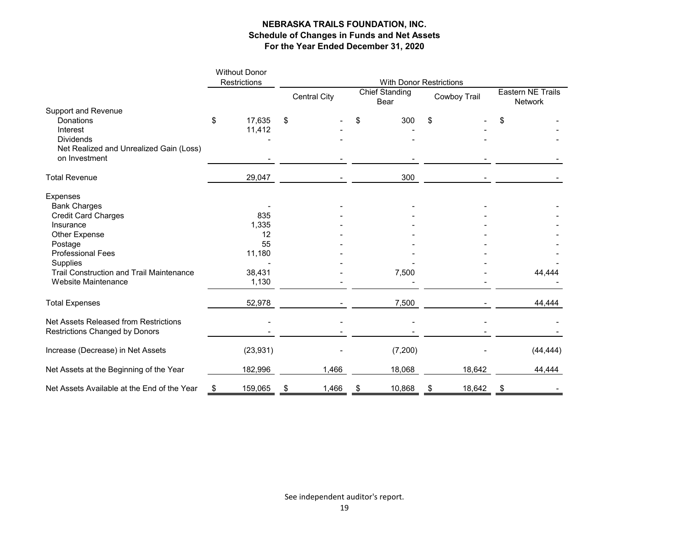|                                                          | <b>Without Donor</b><br>Restrictions | <b>With Donor Restrictions</b> |                     |    |                                      |              |        |                                     |           |  |  |
|----------------------------------------------------------|--------------------------------------|--------------------------------|---------------------|----|--------------------------------------|--------------|--------|-------------------------------------|-----------|--|--|
|                                                          |                                      |                                | <b>Central City</b> |    | <b>Chief Standing</b><br><b>Bear</b> | Cowboy Trail |        | <b>Eastern NE Trails</b><br>Network |           |  |  |
| <b>Support and Revenue</b>                               |                                      |                                |                     |    |                                      |              |        |                                     |           |  |  |
| Donations                                                | \$<br>17,635                         | \$                             |                     | \$ | 300                                  | \$           |        | \$                                  |           |  |  |
| Interest                                                 | 11,412                               |                                |                     |    |                                      |              |        |                                     |           |  |  |
| <b>Dividends</b>                                         |                                      |                                |                     |    |                                      |              |        |                                     |           |  |  |
| Net Realized and Unrealized Gain (Loss)<br>on Investment |                                      |                                |                     |    |                                      |              |        |                                     |           |  |  |
| <b>Total Revenue</b>                                     | 29,047                               |                                |                     |    | 300                                  |              |        |                                     |           |  |  |
| Expenses                                                 |                                      |                                |                     |    |                                      |              |        |                                     |           |  |  |
| <b>Bank Charges</b>                                      |                                      |                                |                     |    |                                      |              |        |                                     |           |  |  |
| <b>Credit Card Charges</b>                               | 835                                  |                                |                     |    |                                      |              |        |                                     |           |  |  |
| Insurance                                                | 1,335                                |                                |                     |    |                                      |              |        |                                     |           |  |  |
| Other Expense                                            | 12                                   |                                |                     |    |                                      |              |        |                                     |           |  |  |
| Postage                                                  | 55                                   |                                |                     |    |                                      |              |        |                                     |           |  |  |
| <b>Professional Fees</b>                                 | 11,180                               |                                |                     |    |                                      |              |        |                                     |           |  |  |
| Supplies                                                 |                                      |                                |                     |    |                                      |              |        |                                     |           |  |  |
| <b>Trail Construction and Trail Maintenance</b>          | 38,431                               |                                |                     |    | 7,500                                |              |        |                                     | 44,444    |  |  |
| Website Maintenance                                      | 1,130                                |                                |                     |    |                                      |              |        |                                     |           |  |  |
| <b>Total Expenses</b>                                    | 52,978                               |                                |                     |    | 7,500                                |              |        |                                     | 44,444    |  |  |
| Net Assets Released from Restrictions                    |                                      |                                |                     |    |                                      |              |        |                                     |           |  |  |
| <b>Restrictions Changed by Donors</b>                    |                                      |                                |                     |    |                                      |              |        |                                     |           |  |  |
| Increase (Decrease) in Net Assets                        | (23, 931)                            |                                |                     |    | (7, 200)                             |              |        |                                     | (44, 444) |  |  |
| Net Assets at the Beginning of the Year                  | 182,996                              |                                | 1,466               |    | 18,068                               |              | 18,642 |                                     | 44,444    |  |  |
| Net Assets Available at the End of the Year              | \$<br>159,065                        | \$                             | 1,466               | \$ | 10,868                               | \$           | 18,642 | \$                                  |           |  |  |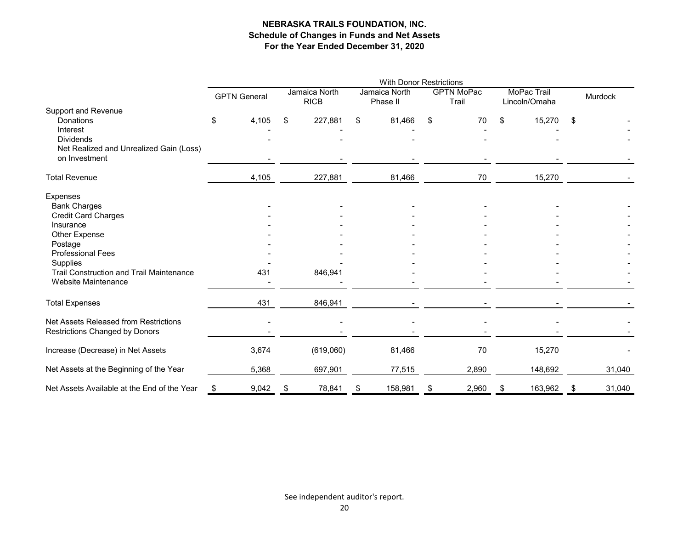|                                                 | <b>With Donor Restrictions</b> |                     |     |                              |    |                           |    |                            |    |                              |    |         |  |
|-------------------------------------------------|--------------------------------|---------------------|-----|------------------------------|----|---------------------------|----|----------------------------|----|------------------------------|----|---------|--|
|                                                 |                                | <b>GPTN General</b> |     | Jamaica North<br><b>RICB</b> |    | Jamaica North<br>Phase II |    | <b>GPTN MoPac</b><br>Trail |    | MoPac Trail<br>Lincoln/Omaha |    | Murdock |  |
| <b>Support and Revenue</b>                      |                                |                     |     |                              |    |                           |    |                            |    |                              |    |         |  |
| Donations                                       | \$                             | 4,105               | \$  | 227,881                      | \$ | 81,466                    | \$ | 70                         | \$ | 15,270                       | \$ |         |  |
| Interest<br><b>Dividends</b>                    |                                |                     |     |                              |    |                           |    |                            |    |                              |    |         |  |
| Net Realized and Unrealized Gain (Loss)         |                                |                     |     |                              |    |                           |    |                            |    |                              |    |         |  |
| on Investment                                   |                                |                     |     |                              |    |                           |    |                            |    |                              |    |         |  |
|                                                 |                                |                     |     |                              |    |                           |    |                            |    |                              |    |         |  |
| <b>Total Revenue</b>                            |                                | 4,105               |     | 227,881                      |    | 81,466                    |    | 70                         |    | 15,270                       |    |         |  |
| Expenses                                        |                                |                     |     |                              |    |                           |    |                            |    |                              |    |         |  |
| <b>Bank Charges</b>                             |                                |                     |     |                              |    |                           |    |                            |    |                              |    |         |  |
| <b>Credit Card Charges</b>                      |                                |                     |     |                              |    |                           |    |                            |    |                              |    |         |  |
| Insurance                                       |                                |                     |     |                              |    |                           |    |                            |    |                              |    |         |  |
| Other Expense                                   |                                |                     |     |                              |    |                           |    |                            |    |                              |    |         |  |
| Postage<br><b>Professional Fees</b>             |                                |                     |     |                              |    |                           |    |                            |    |                              |    |         |  |
| Supplies                                        |                                |                     |     |                              |    |                           |    |                            |    |                              |    |         |  |
| <b>Trail Construction and Trail Maintenance</b> |                                | 431                 |     | 846,941                      |    |                           |    |                            |    |                              |    |         |  |
| Website Maintenance                             |                                |                     |     |                              |    |                           |    |                            |    |                              |    |         |  |
| <b>Total Expenses</b>                           |                                | 431                 |     | 846,941                      |    |                           |    |                            |    |                              |    |         |  |
|                                                 |                                |                     |     |                              |    |                           |    |                            |    |                              |    |         |  |
| Net Assets Released from Restrictions           |                                |                     |     |                              |    |                           |    |                            |    |                              |    |         |  |
| Restrictions Changed by Donors                  |                                |                     |     |                              |    |                           |    |                            |    |                              |    |         |  |
| Increase (Decrease) in Net Assets               |                                | 3,674               |     | (619,060)                    |    | 81,466                    |    | 70                         |    | 15,270                       |    |         |  |
| Net Assets at the Beginning of the Year         |                                | 5,368               |     | 697,901                      |    | 77,515                    |    | 2,890                      |    | 148,692                      |    | 31,040  |  |
| Net Assets Available at the End of the Year     | \$                             | 9,042               | -\$ | 78,841                       | \$ | 158,981                   | \$ | 2,960                      | \$ | 163,962                      | \$ | 31,040  |  |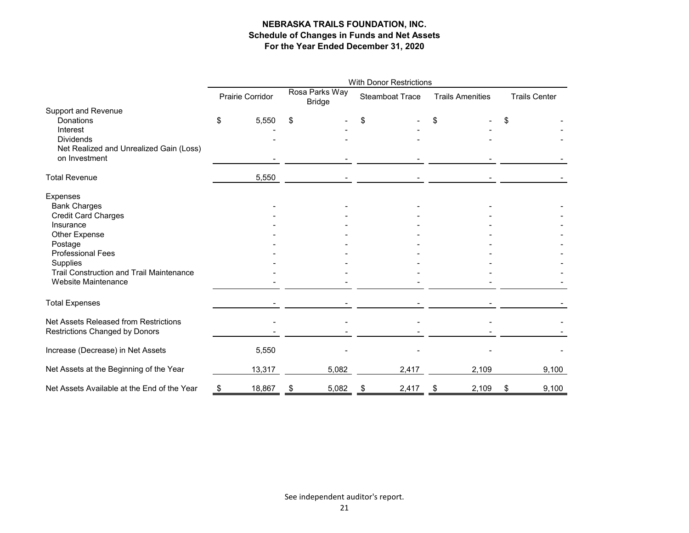|                                                 | <b>With Donor Restrictions</b> |                  |    |                                 |    |                 |    |                         |    |                      |  |  |
|-------------------------------------------------|--------------------------------|------------------|----|---------------------------------|----|-----------------|----|-------------------------|----|----------------------|--|--|
|                                                 |                                | Prairie Corridor |    | Rosa Parks Way<br><b>Bridge</b> |    | Steamboat Trace |    | <b>Trails Amenities</b> |    | <b>Trails Center</b> |  |  |
| <b>Support and Revenue</b>                      |                                |                  |    |                                 |    |                 |    |                         |    |                      |  |  |
| Donations                                       | \$                             | 5,550            | \$ |                                 | \$ |                 | \$ |                         | \$ |                      |  |  |
| Interest                                        |                                |                  |    |                                 |    |                 |    |                         |    |                      |  |  |
| <b>Dividends</b>                                |                                |                  |    |                                 |    |                 |    |                         |    |                      |  |  |
| Net Realized and Unrealized Gain (Loss)         |                                |                  |    |                                 |    |                 |    |                         |    |                      |  |  |
| on Investment                                   |                                |                  |    |                                 |    |                 |    |                         |    |                      |  |  |
| <b>Total Revenue</b>                            |                                | 5,550            |    |                                 |    |                 |    |                         |    |                      |  |  |
| Expenses                                        |                                |                  |    |                                 |    |                 |    |                         |    |                      |  |  |
| <b>Bank Charges</b>                             |                                |                  |    |                                 |    |                 |    |                         |    |                      |  |  |
| <b>Credit Card Charges</b>                      |                                |                  |    |                                 |    |                 |    |                         |    |                      |  |  |
| Insurance                                       |                                |                  |    |                                 |    |                 |    |                         |    |                      |  |  |
| Other Expense                                   |                                |                  |    |                                 |    |                 |    |                         |    |                      |  |  |
| Postage                                         |                                |                  |    |                                 |    |                 |    |                         |    |                      |  |  |
| <b>Professional Fees</b>                        |                                |                  |    |                                 |    |                 |    |                         |    |                      |  |  |
| Supplies                                        |                                |                  |    |                                 |    |                 |    |                         |    |                      |  |  |
| <b>Trail Construction and Trail Maintenance</b> |                                |                  |    |                                 |    |                 |    |                         |    |                      |  |  |
| Website Maintenance                             |                                |                  |    |                                 |    |                 |    |                         |    |                      |  |  |
| <b>Total Expenses</b>                           |                                |                  |    |                                 |    |                 |    |                         |    |                      |  |  |
| Net Assets Released from Restrictions           |                                |                  |    |                                 |    |                 |    |                         |    |                      |  |  |
| Restrictions Changed by Donors                  |                                |                  |    |                                 |    |                 |    |                         |    |                      |  |  |
|                                                 |                                |                  |    |                                 |    |                 |    |                         |    |                      |  |  |
| Increase (Decrease) in Net Assets               |                                | 5,550            |    |                                 |    |                 |    |                         |    |                      |  |  |
| Net Assets at the Beginning of the Year         |                                | 13,317           |    | 5,082                           |    | 2,417           |    | 2,109                   |    | 9,100                |  |  |
| Net Assets Available at the End of the Year     | \$                             | 18,867           | \$ | 5,082                           | \$ | 2,417           | \$ | 2,109                   | \$ | 9,100                |  |  |